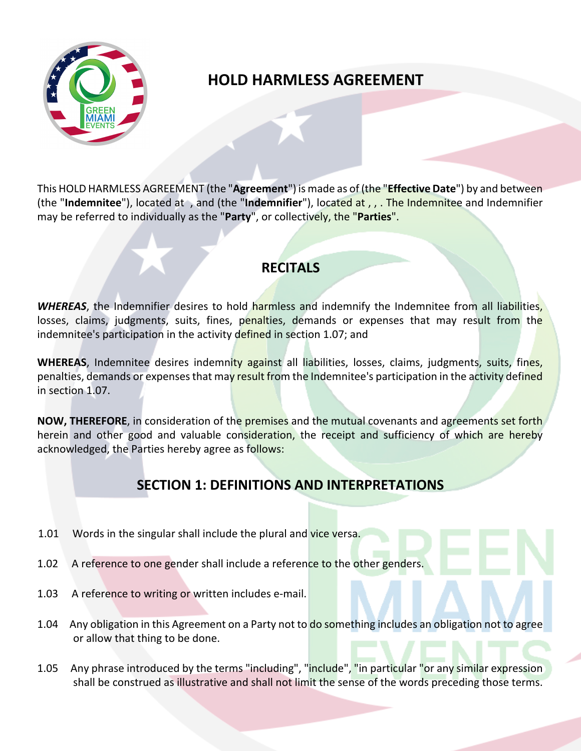

# **HOLD HARMLESS AGREEMENT**

This HOLD HARMLESS AGREEMENT (the "**Agreement**") is made as of (the "**Effective Date**") by and between (the "**Indemnitee**"), located at , and (the "**Indemnifier**"), located at , , . The Indemnitee and Indemnifier may be referred to individually as the "**Party**", or collectively, the "**Parties**".

l

### **RECITALS**

**WHEREAS**, the Indemnifier desires to hold harmless and indemnify the Indemnitee from all liabilities, losses, claims, judgments, suits, fines, penalties, demands or expenses that may result from the indemnitee's participation in the activity defined in section 1.07; and

**WHEREAS**, Indemnitee desires indemnity against all liabilities, losses, claims, judgments, suits, fines, penalties, demands or expenses that may result from the Indemnitee's participation in the activity defined in section 1.07.

**NOW, THEREFORE**, in consideration of the premises and the mutual covenants and agreements set forth herein and other good and valuable consideration, the receipt and sufficiency of which are hereby acknowledged, the Parties hereby agree as follows:

# **SECTION 1: DEFINITIONS AND INTERPRETATIONS**

- 1.01 Words in the singular shall include the plural and vice versa.
- 1.02 A reference to one gender shall include a reference to the other genders.
- 1.03 A reference to writing or written includes e-mail.
- 1.04 Any obligation in this Agreement on a Party not to do something includes an obligation not to agree or allow that thing to be done.
- 1.05 Any phrase introduced by the terms "including", "include", "in particular "or any similar expression shall be construed as illustrative and shall not limit the sense of the words preceding those terms.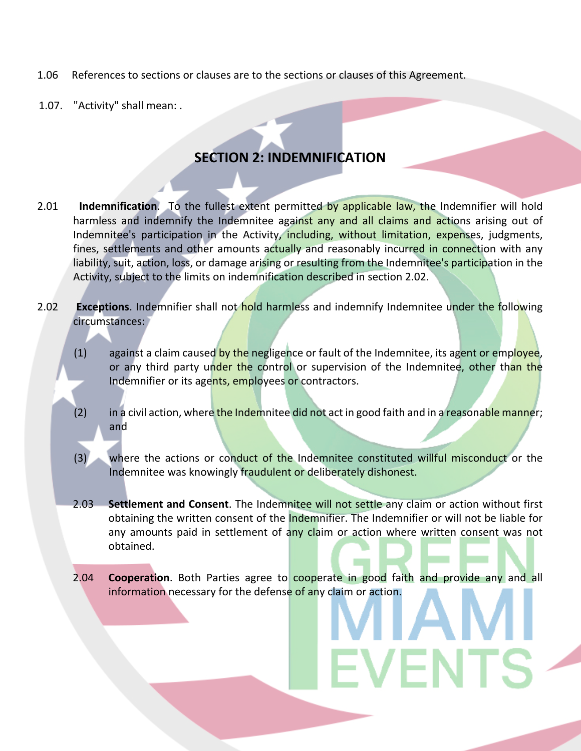- 1.06 References to sections or clauses are to the sections or clauses of this Agreement.
- 1.07. "Activity" shall mean: .

## **SECTION 2: INDEMNIFICATION**

- 2.01 **Indemnification**. To the fullest extent permitted by applicable law, the Indemnifier will hold harmless and indemnify the Indemnitee against any and all claims and actions arising out of Indemnitee's participation in the Activity, including, without limitation, expenses, judgments, fines, settlements and other amounts actually and reasonably incurred in connection with any liability, suit, action, loss, or damage arising or resulting from the Indemnitee's participation in the Activity, subject to the limits on indemnification described in section 2.02.
- 2.02 **Exceptions**. Indemnifier shall not hold harmless and indemnify Indemnitee under the following circumstances:
	- $(1)$  against a claim caused by the negligence or fault of the Indemnitee, its agent or employee, or any third party under the control or supervision of the Indemnitee, other than the Indemnifier or its agents, employees or contractors.
	- (2) in a civil action, where the Indemnitee did not act in good faith and in a reasonable manner; and
	- (3) where the actions or conduct of the Indemnitee constituted willful misconduct or the Indemnitee was knowingly fraudulent or deliberately dishonest.
	- 2.03 **Settlement and Consent**. The Indemnitee will not settle any claim or action without first obtaining the written consent of the Indemnifier. The Indemnifier or will not be liable for any amounts paid in settlement of any claim or action where written consent was not obtained.
	- 2.04 **Cooperation**. Both Parties agree to cooperate in good faith and provide any and all information necessary for the defense of any claim or action.

**EVENTS**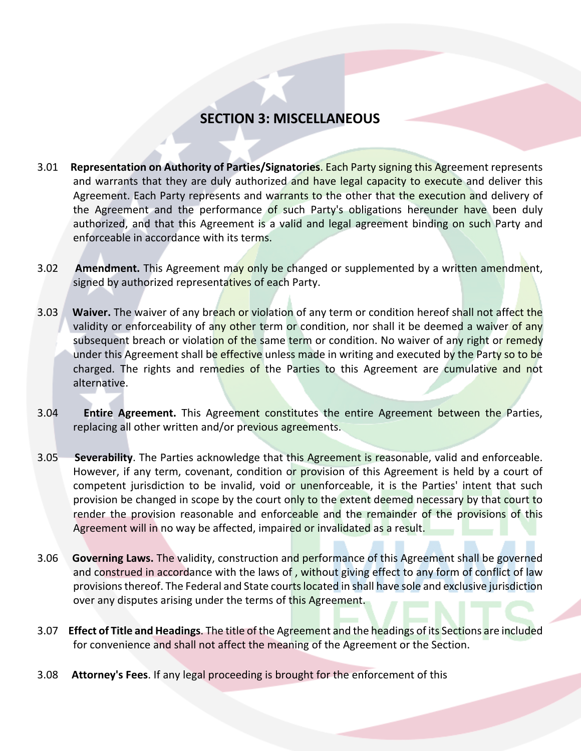#### **SECTION 3: MISCELLANEOUS**

- 3.01 **Representation on Authority of Parties/Signatories**. Each Party signing this Agreement represents and warrants that they are duly authorized and have legal capacity to execute and deliver this Agreement. Each Party represents and warrants to the other that the execution and delivery of the Agreement and the performance of such Party's obligations hereunder have been duly authorized, and that this Agreement is a valid and legal agreement binding on such Party and enforceable in accordance with its terms.
- 3.02 **Amendment.** This Agreement may only be changed or supplemented by a written amendment, signed by authorized representatives of each Party.
- 3.03 **Waiver.** The waiver of any breach or violation of any term or condition hereof shall not affect the validity or enforceability of any other term or condition, nor shall it be deemed a waiver of any subsequent breach or violation of the same term or condition. No waiver of any right or remedy under this Agreement shall be effective unless made in writing and executed by the Party so to be charged. The rights and remedies of the Parties to this Agreement are cumulative and not alternative.
- 3.04 **Entire Agreement.** This Agreement constitutes the entire Agreement between the Parties, replacing all other written and/or previous agreements.
- 3.05 **Severability**. The Parties acknowledge that this Agreement is reasonable, valid and enforceable. However, if any term, covenant, condition or provision of this Agreement is held by a court of competent jurisdiction to be invalid, void or unenforceable, it is the Parties' intent that such provision be changed in scope by the court only to the extent deemed necessary by that court to render the provision reasonable and enforceable and the remainder of the provisions of this Agreement will in no way be affected, impaired or invalidated as a result.
- 3.06 **Governing Laws.** The validity, construction and performance of this Agreement shall be governed and construed in accordance with the laws of, without giving effect to any form of conflict of law provisions thereof. The Federal and State courts located in shall have sole and exclusive jurisdiction over any disputes arising under the terms of this Agreement.
- 3.07 **Effect of Title and Headings**. The title of the Agreement and the headings of its Sections are included for convenience and shall not affect the meaning of the Agreement or the Section.
- 3.08 **Attorney's Fees**. If any legal proceeding is brought for the enforcement of this